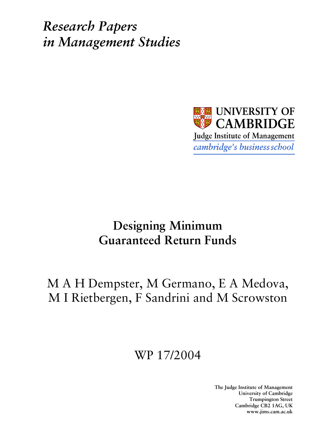**Research Papers** in Management Studies



## **Designing Minimum Guaranteed Return Funds**

# M A H Dempster, M Germano, E A Medova, M I Rietbergen, F Sandrini and M Scrowston

# WP 17/2004

The Judge Institute of Management University of Cambridge **Trumpington Street** Cambridge CB2 1AG, UK www.jims.cam.ac.uk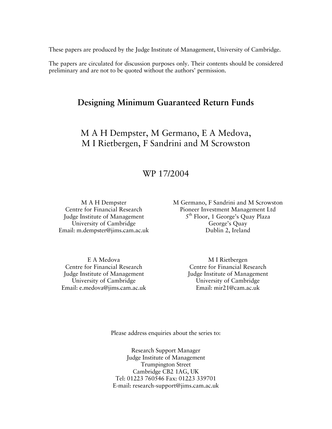These papers are produced by the Judge Institute of Management, University of Cambridge.

The papers are circulated for discussion purposes only. Their contents should be considered preliminary and are not to be quoted without the authors' permission.

## **Designing Minimum Guaranteed Return Funds**

M A H Dempster, M Germano, E A Medova, M I Rietbergen, F Sandrini and M Scrowston

## WP 17/2004

M A H Dempster Centre for Financial Research Judge Institute of Management University of Cambridge Email: m.dempster@jims.cam.ac.uk M Germano, F Sandrini and M Scrowston Pioneer Investment Management Ltd 5<sup>th</sup> Floor, 1 George's Quay Plaza George's Quay Dublin 2. Ireland

E A Medova Centre for Financial Research Judge Institute of Management University of Cambridge Email: e.medova@jims.cam.ac.uk

M I Rietbergen Centre for Financial Research Judge Institute of Management University of Cambridge Email: mir21@cam.ac.uk

Please address enquiries about the series to:

Research Support Manager Judge Institute of Management **Trumpington Street** Cambridge CB2 1AG, UK Tel: 01223 760546 Fax: 01223 339701 E-mail: research-support@jims.cam.ac.uk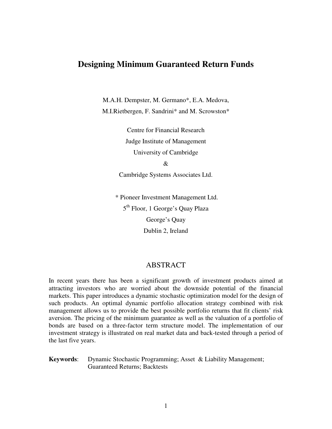## **Designing Minimum Guaranteed Return Funds**

M.A.H. Dempster, M. Germano\*, E.A. Medova, M.I.Rietbergen, F. Sandrini\* and M. Scrowston\*

> Centre for Financial Research Judge Institute of Management University of Cambridge

&

Cambridge Systems Associates Ltd.

\* Pioneer Investment Management Ltd. 5<sup>th</sup> Floor, 1 George's Quay Plaza George's Quay Dublin 2, Ireland

### ABSTRACT

In recent years there has been a significant growth of investment products aimed at attracting investors who are worried about the downside potential of the financial markets. This paper introduces a dynamic stochastic optimization model for the design of such products. An optimal dynamic portfolio allocation strategy combined with risk management allows us to provide the best possible portfolio returns that fit clients' risk aversion. The pricing of the minimum guarantee as well as the valuation of a portfolio of bonds are based on a three-factor term structure model. The implementation of our investment strategy is illustrated on real market data and back-tested through a period of the last five years.

**Keywords**: Dynamic Stochastic Programming; Asset & Liability Management; Guaranteed Returns; Backtests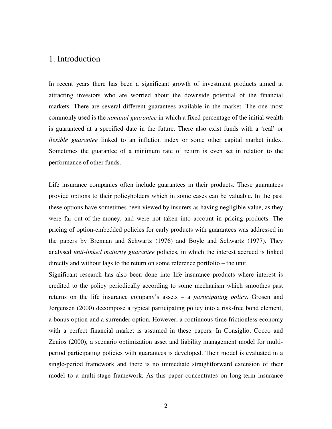## 1. Introduction

In recent years there has been a significant growth of investment products aimed at attracting investors who are worried about the downside potential of the financial markets. There are several different guarantees available in the market. The one most commonly used is the *nominal guarantee* in which a fixed percentage of the initial wealth is guaranteed at a specified date in the future. There also exist funds with a 'real' or *flexible guarantee* linked to an inflation index or some other capital market index. Sometimes the guarantee of a minimum rate of return is even set in relation to the performance of other funds.

Life insurance companies often include guarantees in their products. These guarantees provide options to their policyholders which in some cases can be valuable. In the past these options have sometimes been viewed by insurers as having negligible value, as they were far out-of-the-money, and were not taken into account in pricing products. The pricing of option-embedded policies for early products with guarantees was addressed in the papers by Brennan and Schwartz (1976) and Boyle and Schwartz (1977). They analysed *unit-linked maturity guarantee* policies, in which the interest accrued is linked directly and without lags to the return on some reference portfolio – the unit.

Significant research has also been done into life insurance products where interest is credited to the policy periodically according to some mechanism which smoothes past returns on the life insurance company's assets – a *participating policy*. Grosen and Jørgensen (2000) decompose a typical participating policy into a risk-free bond element, a bonus option and a surrender option. However, a continuous-time frictionless economy with a perfect financial market is assumed in these papers. In Consiglio, Cocco and Zenios (2000), a scenario optimization asset and liability management model for multiperiod participating policies with guarantees is developed. Their model is evaluated in a single-period framework and there is no immediate straightforward extension of their model to a multi-stage framework. As this paper concentrates on long-term insurance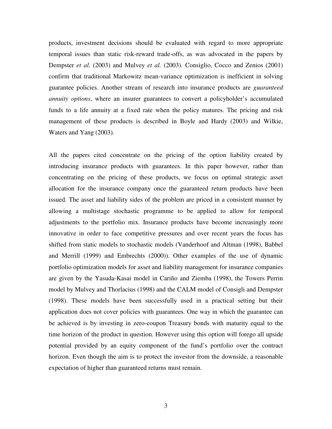products, investment decisions should be evaluated with regard to more appropriate temporal issues than static risk-reward trade-offs, as was advocated in the papers by Dempster *et al.* (2003) and Mulvey *et al.* (2003). Consiglio, Cocco and Zenios (2001) confirm that traditional Markowitz mean-variance optimization is inefficient in solving guarantee policies. Another stream of research into insurance products are *guaranteed annuity options*, where an insurer guarantees to convert a policyholder's accumulated funds to a life annuity at a fixed rate when the policy matures. The pricing and risk management of these products is described in Boyle and Hardy (2003) and Wilkie, Waters and Yang (2003).

All the papers cited concentrate on the pricing of the option liability created by introducing insurance products with guarantees. In this paper however, rather than concentrating on the pricing of these products, we focus on optimal strategic asset allocation for the insurance company once the guaranteed return products have been issued. The asset and liability sides of the problem are priced in a consistent manner by allowing a multistage stochastic programme to be applied to allow for temporal adjustments to the portfolio mix. Insurance products have become increasingly more innovative in order to face competitive pressures and over recent years the focus has shifted from static models to stochastic models (Vanderhoof and Altman (1998), Babbel and Merrill (1999) and Embrechts (2000)). Other examples of the use of dynamic portfolio optimization models for asset and liability management for insurance companies are given by the Yasuda-Kasai model in Cariño and Ziemba (1998), the Towers Perrin model by Mulvey and Thorlacius (1998) and the CALM model of Consigli and Dempster (1998). These models have been successfully used in a practical setting but their application does not cover policies with guarantees. One way in which the guarantee can be achieved is by investing in zero-coupon Treasury bonds with maturity equal to the time horizon of the product in question. However using this option will forego all upside potential provided by an equity component of the fund's portfolio over the contract horizon. Even though the aim is to protect the investor from the downside, a reasonable expectation of higher than guaranteed returns must remain.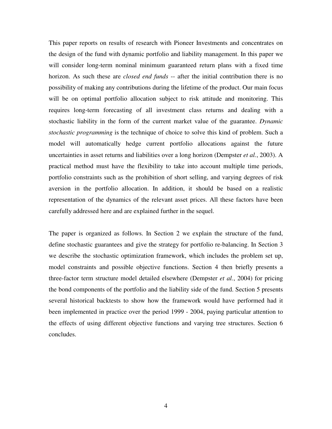This paper reports on results of research with Pioneer Investments and concentrates on the design of the fund with dynamic portfolio and liability management. In this paper we will consider long-term nominal minimum guaranteed return plans with a fixed time horizon. As such these are *closed end funds* -- after the initial contribution there is no possibility of making any contributions during the lifetime of the product. Our main focus will be on optimal portfolio allocation subject to risk attitude and monitoring. This requires long-term forecasting of all investment class returns and dealing with a stochastic liability in the form of the current market value of the guarantee. *Dynamic stochastic programming* is the technique of choice to solve this kind of problem. Such a model will automatically hedge current portfolio allocations against the future uncertainties in asset returns and liabilities over a long horizon (Dempster *et al.*, 2003). A practical method must have the flexibility to take into account multiple time periods, portfolio constraints such as the prohibition of short selling, and varying degrees of risk aversion in the portfolio allocation. In addition, it should be based on a realistic representation of the dynamics of the relevant asset prices. All these factors have been carefully addressed here and are explained further in the sequel.

The paper is organized as follows. In Section 2 we explain the structure of the fund, define stochastic guarantees and give the strategy for portfolio re-balancing. In Section 3 we describe the stochastic optimization framework, which includes the problem set up, model constraints and possible objective functions. Section 4 then briefly presents a three-factor term structure model detailed elsewhere (Dempster *et al.*, 2004) for pricing the bond components of the portfolio and the liability side of the fund. Section 5 presents several historical backtests to show how the framework would have performed had it been implemented in practice over the period 1999 - 2004, paying particular attention to the effects of using different objective functions and varying tree structures. Section 6 concludes.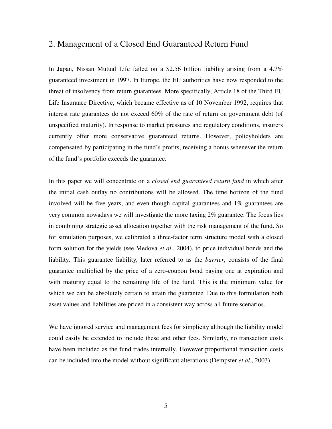## 2. Management of a Closed End Guaranteed Return Fund

In Japan, Nissan Mutual Life failed on a \$2.56 billion liability arising from a 4.7% guaranteed investment in 1997. In Europe, the EU authorities have now responded to the threat of insolvency from return guarantees. More specifically, Article 18 of the Third EU Life Insurance Directive, which became effective as of 10 November 1992, requires that interest rate guarantees do not exceed 60% of the rate of return on government debt (of unspecified maturity). In response to market pressures and regulatory conditions, insurers currently offer more conservative guaranteed returns. However, policyholders are compensated by participating in the fund's profits, receiving a bonus whenever the return of the fund's portfolio exceeds the guarantee.

In this paper we will concentrate on a *closed end guaranteed return fund* in which after the initial cash outlay no contributions will be allowed. The time horizon of the fund involved will be five years, and even though capital guarantees and 1% guarantees are very common nowadays we will investigate the more taxing 2% guarantee. The focus lies in combining strategic asset allocation together with the risk management of the fund. So for simulation purposes, we calibrated a three-factor term structure model with a closed form solution for the yields (see Medova *et al.*, 2004), to price individual bonds and the liability. This guarantee liability, later referred to as the *barrier*, consists of the final guarantee multiplied by the price of a zero-coupon bond paying one at expiration and with maturity equal to the remaining life of the fund. This is the minimum value for which we can be absolutely certain to attain the guarantee. Due to this formulation both asset values and liabilities are priced in a consistent way across all future scenarios.

We have ignored service and management fees for simplicity although the liability model could easily be extended to include these and other fees. Similarly, no transaction costs have been included as the fund trades internally. However proportional transaction costs can be included into the model without significant alterations (Dempster *et al.*, 2003).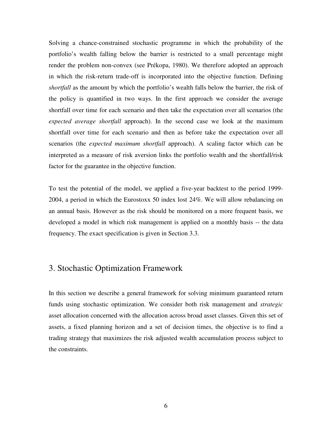Solving a chance-constrained stochastic programme in which the probability of the portfolio's wealth falling below the barrier is restricted to a small percentage might render the problem non-convex (see Prékopa, 1980). We therefore adopted an approach in which the risk-return trade-off is incorporated into the objective function. Defining *shortfall* as the amount by which the portfolio's wealth falls below the barrier, the risk of the policy is quantified in two ways. In the first approach we consider the average shortfall over time for each scenario and then take the expectation over all scenarios (the *expected average shortfall* approach). In the second case we look at the maximum shortfall over time for each scenario and then as before take the expectation over all scenarios (the *expected maximum shortfall* approach). A scaling factor which can be interpreted as a measure of risk aversion links the portfolio wealth and the shortfall/risk factor for the guarantee in the objective function.

To test the potential of the model, we applied a five-year backtest to the period 1999- 2004, a period in which the Eurostoxx 50 index lost 24%. We will allow rebalancing on an annual basis. However as the risk should be monitored on a more frequent basis, we developed a model in which risk management is applied on a monthly basis -- the data frequency. The exact specification is given in Section 3.3.

## 3. Stochastic Optimization Framework

In this section we describe a general framework for solving minimum guaranteed return funds using stochastic optimization. We consider both risk management and *strategic* asset allocation concerned with the allocation across broad asset classes. Given this set of assets, a fixed planning horizon and a set of decision times, the objective is to find a trading strategy that maximizes the risk adjusted wealth accumulation process subject to the constraints.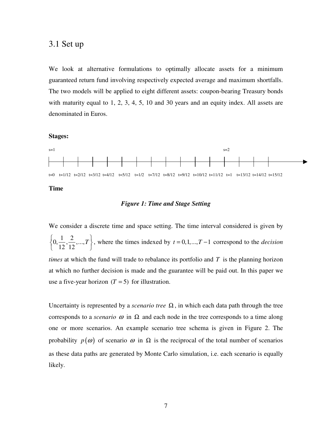## 3.1 Set up

We look at alternative formulations to optimally allocate assets for a minimum guaranteed return fund involving respectively expected average and maximum shortfalls. The two models will be applied to eight different assets: coupon-bearing Treasury bonds with maturity equal to 1, 2, 3, 4, 5, 10 and 30 years and an equity index. All assets are denominated in Euros.

#### **Stages:**



#### *Figure 1: Time and Stage Setting*

We consider a discrete time and space setting. The time interval considered is given by  $0, \frac{1}{12}, \frac{2}{12}, \dots,$ 12 12 *T*  $\left\{0, \frac{1}{12}, \frac{2}{12}, ..., T\right\}$  $\left[ \begin{array}{c} 0.712 & 0.712 \\ 0.712 & 0.712 \end{array} \right]$ , where the times indexed by *t* = 0,1,...,*T* −1 correspond to the *decision times* at which the fund will trade to rebalance its portfolio and *T* is the planning horizon at which no further decision is made and the guarantee will be paid out. In this paper we use a five-year horizon  $(T = 5)$  for illustration.

Uncertainty is represented by a *scenario tree*  $\Omega$ , in which each data path through the tree corresponds to a *scenario*  $\omega$  in  $\Omega$  and each node in the tree corresponds to a time along one or more scenarios. An example scenario tree schema is given in Figure 2. The probability  $p(\omega)$  of scenario  $\omega$  in  $\Omega$  is the reciprocal of the total number of scenarios as these data paths are generated by Monte Carlo simulation, i.e. each scenario is equally likely.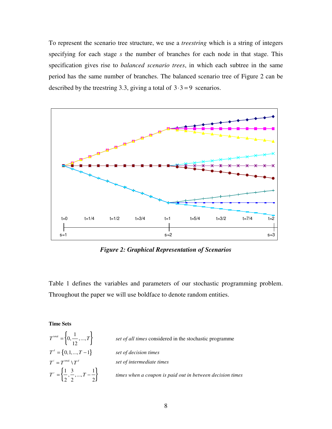To represent the scenario tree structure, we use a *treestring* which is a string of integers specifying for each stage *s* the number of branches for each node in that stage. This specification gives rise to *balanced scenario trees*, in which each subtree in the same period has the same number of branches. The balanced scenario tree of Figure 2 can be described by the treestring 3.3, giving a total of  $3 \cdot 3 = 9$  scenarios.



*Figure 2: Graphical Representation of Scenarios*

Table 1 defines the variables and parameters of our stochastic programming problem. Throughout the paper we will use boldface to denote random entities.

**Time Sets**

$$
T^{\text{total}} = \left\{0, \frac{1}{12}, ..., T\right\}
$$

$$
T^{d} = \left\{0, 1, ..., T - 1\right\}
$$

$$
T^{i} = T^{\text{total}} \setminus T^{d}
$$

$$
T^{c} = \left\{\frac{1}{2}, \frac{3}{2}, ..., T - \frac{1}{2}\right\}
$$

*The set of all times* considered in the stochastic programme  $\int$  *set of decision times*  $\int$  *set of intermediate times times* when a coupon is paid out in between decision times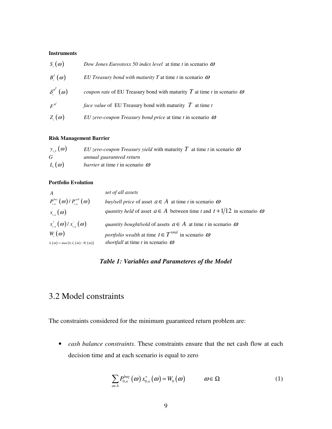#### **Instruments**

| $S_{\alpha}(\omega)$             | Dow Jones Eurostoxx 50 index level at time t in scenario $\omega$                       |
|----------------------------------|-----------------------------------------------------------------------------------------|
| $B_{\cdot}^{T}(\omega)$          | EU Treasury bond with maturity T at time t in scenario $\omega$                         |
| $\delta_{\cdot}^{\beta}(\omega)$ | <i>coupon rate</i> of EU Treasury bond with maturity $T$ at time t in scenario $\omega$ |
| $F^{B^T}$                        | <i>face value</i> of EU Treasury bond with maturity $T$ at time t                       |
| $Z_{\mu}(\omega)$                | EU zero-coupon Treasury bond price at time t in scenario $\omega$                       |

#### **Risk Management Barrier**

| $y_{\tau}(\omega)$ | EU zero-coupon Treasury yield with maturity T at time t in scenario $\omega$ |
|--------------------|------------------------------------------------------------------------------|
| G                  | annual guaranteed return                                                     |
| $L(\omega)$        | <i>barrier</i> at time t in scenario $\omega$                                |

#### **Portfolio Evolution**

| $\boldsymbol{A}$                                   | set of all assets                                                                          |
|----------------------------------------------------|--------------------------------------------------------------------------------------------|
| $P_{t,a}^{buy}(\omega)$ / $P_{t,a}^{sell}(\omega)$ | buy/sell price of asset $a \in A$ at time t in scenario $\omega$                           |
| $x_{i_a}(\omega)$                                  | <i>quantity held</i> of asset $a \in A$ between time t and $t + 1/12$ in scenario $\omega$ |
| $x_{i}^{\dagger}(\omega)/x_{i}^{\dagger}(\omega)$  | <i>quantity bought/sold</i> of assets $a \in A$ at time t in scenario $\omega$             |
| $W(\omega)$                                        | <i>portfolio wealth</i> at time $t \in T^{\text{total}}$ in scenario $\omega$              |
| $h_i(\omega) = \max(0, L_i(\omega) - W_i(\omega))$ | shortfall at time t in scenario $\omega$                                                   |

#### *Table 1: Variables and Parameteres of the Model*

## 3.2 Model constraints

The constraints considered for the minimum guaranteed return problem are:

• *cash balance constraints*. These constraints ensure that the net cash flow at each decision time and at each scenario is equal to zero

$$
\sum_{a \in A} P_{0,a}^{\text{buy}}(\omega) x_{0,a}^{\dagger}(\omega) = W_0(\omega) \qquad \omega \in \Omega \tag{1}
$$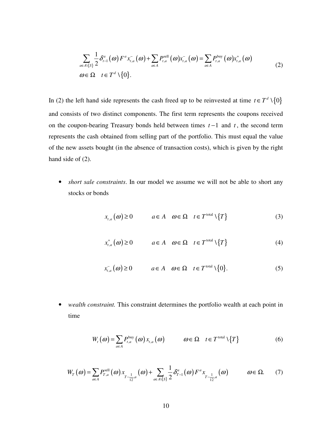$$
\sum_{a\in A\setminus\{S\}}\frac{1}{2}\delta_{t-1}^a(\omega)F^a x_{t,a}^-(\omega)+\sum_{a\in A}P_{t,a}^{\text{sell}}(\omega) x_{t,a}^-(\omega)=\sum_{a\in A}P_{t,a}^{\text{buy}}(\omega) x_{t,a}^+(\omega)
$$
\n
$$
\omega\in\Omega\quad t\in T^d\setminus\{0\}.\tag{2}
$$

In (2) the left hand side represents the cash freed up to be reinvested at time  $t \in T^d \setminus \{0\}$ and consists of two distinct components. The first term represents the coupons received on the coupon-bearing Treasury bonds held between times *t* −1 and *t* , the second term represents the cash obtained from selling part of the portfolio. This must equal the value of the new assets bought (in the absence of transaction costs), which is given by the right hand side of  $(2)$ .

• *short sale constraints*. In our model we assume we will not be able to short any stocks or bonds

$$
x_{t,a}(\omega) \ge 0 \qquad a \in A \quad \omega \in \Omega \quad t \in T^{\text{total}} \setminus \{T\} \tag{3}
$$

$$
x_{t,a}^+(\omega) \ge 0 \qquad a \in A \quad \omega \in \Omega \quad t \in T^{\text{total}} \setminus \{T\} \tag{4}
$$

$$
x_{t,a}^-(\omega) \ge 0 \qquad a \in A \quad \omega \in \Omega \quad t \in T^{\text{total}} \setminus \{0\}. \tag{5}
$$

• *wealth constraint.* This constraint determines the portfolio wealth at each point in time

$$
W_{t}(\omega) = \sum_{a \in A} P_{t,a}^{\text{buy}}(\omega) x_{t,a}(\omega) \qquad \omega \in \Omega \quad t \in T^{\text{total}} \setminus \{T\}
$$
 (6)

$$
W_T(\omega) = \sum_{a \in A} P_{T,a}^{\text{sell}}(\omega) x_{T-\frac{1}{12},a}(\omega) + \sum_{a \in A \setminus \{s\}} \frac{1}{2} \delta_{T-1}^a(\omega) F^a x_{T-\frac{1}{12},a}(\omega) \qquad \omega \in \Omega. \tag{7}
$$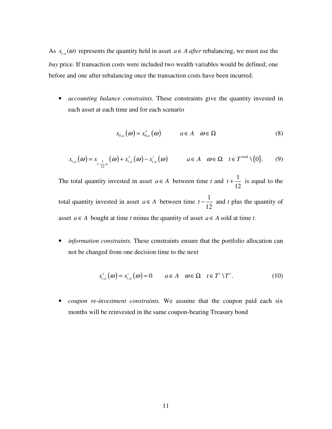As  $x_{t,a}(\omega)$  represents the quantity held in asset  $a \in A$  *after* rebalancing, we must use the *buy* price. If transaction costs were included two wealth variables would be defined; one before and one after rebalancing once the transaction costs have been incurred.

• *accounting balance constraints.* These constraints give the quantity invested in each asset at each time and for each scenario

$$
x_{0,a}(\omega) = x_{0,a}^+(\omega) \qquad a \in A \quad \omega \in \Omega \tag{8}
$$

$$
x_{t,a}(\omega) = x_{t-\frac{1}{12},a}(\omega) + x_{t,a}^+(\omega) - x_{t,a}^-(\omega) \qquad a \in A \quad \omega \in \Omega \quad t \in T^{\text{total}} \setminus \{0\}. \tag{9}
$$

The total quantity invested in asset  $a \in A$  between time *t* and  $t + \frac{1}{16}$ 12  $t + \frac{1}{12}$  is equal to the total quantity invested in asset  $a \in A$  between time  $t - \frac{1}{4a}$ 12  $t - \frac{1}{12}$  and *t* plus the quantity of asset *a*∈ *A* bought at time *t* minus the quantity of asset *a*∈ *A* sold at time *t*.

• *information constraints*. These constraints ensure that the portfolio allocation can not be changed from one decision time to the next

$$
x_{t,a}^+(\omega) = x_{t,a}^-(\omega) = 0 \qquad a \in A \quad \omega \in \Omega \quad t \in T^i \setminus T^c. \tag{10}
$$

• *coupon re-investment constraints.* We assume that the coupon paid each six months will be reinvested in the same coupon-bearing Treasury bond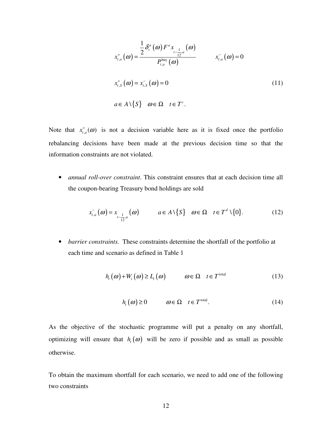$$
x_{t,a}^{+}(\omega) = \frac{\frac{1}{2}\delta_t^a(\omega)F^a x_{t-a}^{+}(\omega)}{P_{t,a}^{\text{buy}}(\omega)}
$$
  
\n
$$
x_{t,a}^{+}(\omega) = x_{t,s}^{-}(\omega) = 0
$$
  
\n
$$
x_{t,s}^{+}(\omega) = x_{t,s}^{-}(\omega) = 0
$$
  
\n
$$
a \in A \setminus \{S\} \quad \omega \in \Omega \quad t \in T^c.
$$
  
\n(11)

Note that  $x_{t,a}^+(\omega)$  is not a decision variable here as it is fixed once the portfolio rebalancing decisions have been made at the previous decision time so that the information constraints are not violated.

• *annual roll-over constraint*. This constraint ensures that at each decision time all the coupon-bearing Treasury bond holdings are sold

$$
x_{t,a}^-(\omega) = x_{t-\frac{1}{12},a}^-(\omega) \qquad a \in A \setminus \{S\} \quad \omega \in \Omega \quad t \in T^d \setminus \{0\}. \tag{12}
$$

• *barrier constraints.* These constraints determine the shortfall of the portfolio at each time and scenario as defined in Table 1

$$
h_{t}(\omega) + W_{t}(\omega) \ge L_{t}(\omega) \qquad \omega \in \Omega \quad t \in T^{\text{total}} \tag{13}
$$

$$
h_t(\omega) \ge 0 \qquad \omega \in \Omega \quad t \in T^{\text{total}}. \tag{14}
$$

As the objective of the stochastic programme will put a penalty on any shortfall, optimizing will ensure that  $h_t(\omega)$  will be zero if possible and as small as possible otherwise.

To obtain the maximum shortfall for each scenario, we need to add one of the following two constraints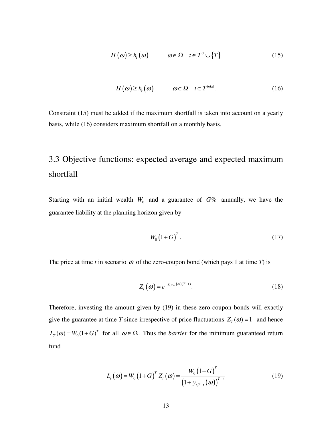$$
H(\omega) \ge h_{t}(\omega) \qquad \omega \in \Omega \quad t \in T^{d} \cup \{T\}
$$
 (15)

$$
H(\omega) \ge h_t(\omega) \qquad \omega \in \Omega \quad t \in T^{\text{total}}.\tag{16}
$$

Constraint (15) must be added if the maximum shortfall is taken into account on a yearly basis, while (16) considers maximum shortfall on a monthly basis.

## 3.3 Objective functions: expected average and expected maximum shortfall

Starting with an initial wealth  $W_0$  and a guarantee of  $G\%$  annually, we have the guarantee liability at the planning horizon given by

$$
W_0 \left(1 + G\right)^T. \tag{17}
$$

The price at time *t* in scenario  $\omega$  of the zero-coupon bond (which pays 1 at time *T*) is

$$
Z_{t}(\omega) = e^{-y_{t,T-t}(\omega)(T-t)}.
$$
\n(18)

Therefore, investing the amount given by (19) in these zero-coupon bonds will exactly give the guarantee at time *T* since irrespective of price fluctuations  $Z_T(\omega) = 1$  and hence  $L_T(\omega) = W_0(1+G)^T$  for all  $\omega \in \Omega$ . Thus the *barrier* for the minimum guaranteed return fund

$$
L_{t}(\omega) = W_{0} (1+G)^{T} Z_{t}(\omega) = \frac{W_{0} (1+G)^{T}}{(1+y_{t,T-t}(\omega))^{T-t}}
$$
(19)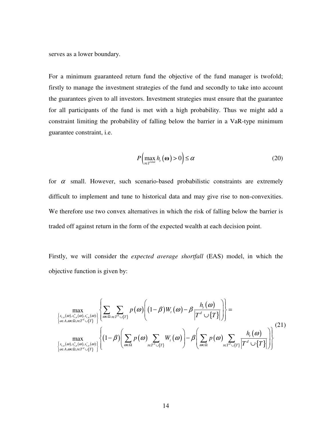serves as a lower boundary.

For a minimum guaranteed return fund the objective of the fund manager is twofold; firstly to manage the investment strategies of the fund and secondly to take into account the guarantees given to all investors. Investment strategies must ensure that the guarantee for all participants of the fund is met with a high probability. Thus we might add a constraint limiting the probability of falling below the barrier in a VaR-type minimum guarantee constraint, i.e.

$$
P\left(\max_{t \in T^{\text{total}}} h_t\left(\mathbf{\omega}\right) > 0\right) \le \alpha \tag{20}
$$

for  $\alpha$  small. However, such scenario-based probabilistic constraints are extremely difficult to implement and tune to historical data and may give rise to non-convexities. We therefore use two convex alternatives in which the risk of falling below the barrier is traded off against return in the form of the expected wealth at each decision point.

Firstly, we will consider the *expected average shortfall* (EAS) model, in which the objective function is given by:

$$
\max_{\substack{\left\{x_{t,a}(\omega), x_{t,a}^+(\omega), x_{t,a}^-(\omega)\right\}\\ \left\{\alpha\in A, \omega\in\Omega, t\in T^d\cup\{T\}\right\}\\ \max_{\substack{\left\{x_{t,a}(\omega), x_{t,a}^-(\omega), x_{t,a}^-(\omega)\right\}\\ \left\{\alpha\in A, \omega\in\Omega, t\in T^d\cup\{T\}\right\}\\ \left\{\left(1-\beta\right)\left(\sum_{\omega\in\Omega} p(\omega)\sum_{t\in T^d\cup\{T\}} W_t(\omega)\right) - \beta\left(\sum_{\omega\in\Omega} p(\omega)\sum_{t\in T^d\cup\{T\}} \frac{h_t(\omega)}{\left|T^d\cup\{T\}\right|}\right)\right\}}\tag{21}
$$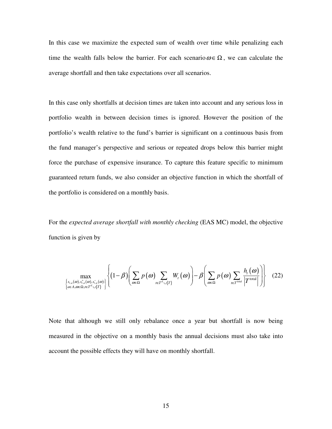In this case we maximize the expected sum of wealth over time while penalizing each time the wealth falls below the barrier. For each scenario  $\omega \in \Omega$ , we can calculate the average shortfall and then take expectations over all scenarios.

In this case only shortfalls at decision times are taken into account and any serious loss in portfolio wealth in between decision times is ignored. However the position of the portfolio's wealth relative to the fund's barrier is significant on a continuous basis from the fund manager's perspective and serious or repeated drops below this barrier might force the purchase of expensive insurance. To capture this feature specific to minimum guaranteed return funds, we also consider an objective function in which the shortfall of the portfolio is considered on a monthly basis.

For the *expected average shortfall with monthly checking* (EAS MC) model, the objective function is given by

$$
\max_{\substack{\left\{x_{t,a}(\omega), x_{t,a}^+(\omega), x_{t,a}^-(\omega)\right\} \\ a\in A, \omega\in\Omega, t\in T^d\cup\{T\}\end{math}}\left\{\left(1-\beta\right)\left(\sum_{\omega\in\Omega}p(\omega)\sum_{t\in T^d\cup\{T\}}W_t(\omega)\right)-\beta\left(\sum_{\omega\in\Omega}p(\omega)\sum_{t\in T^{\text{total}}}\frac{h_t(\omega)}{\left|T^{\text{total}}\right|}\right)\right\}\tag{22}
$$

Note that although we still only rebalance once a year but shortfall is now being measured in the objective on a monthly basis the annual decisions must also take into account the possible effects they will have on monthly shortfall.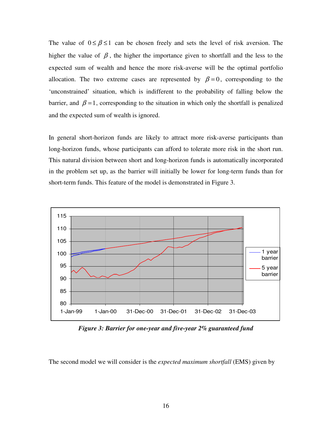The value of  $0 \le \beta \le 1$  can be chosen freely and sets the level of risk aversion. The higher the value of  $\beta$ , the higher the importance given to shortfall and the less to the expected sum of wealth and hence the more risk-averse will be the optimal portfolio allocation. The two extreme cases are represented by  $\beta = 0$ , corresponding to the 'unconstrained' situation, which is indifferent to the probability of falling below the barrier, and  $\beta = 1$ , corresponding to the situation in which only the shortfall is penalized and the expected sum of wealth is ignored.

In general short-horizon funds are likely to attract more risk-averse participants than long-horizon funds, whose participants can afford to tolerate more risk in the short run. This natural division between short and long-horizon funds is automatically incorporated in the problem set up, as the barrier will initially be lower for long-term funds than for short-term funds. This feature of the model is demonstrated in Figure 3.



*Figure 3: Barrier for one-year and five-year 2% guaranteed fund*

The second model we will consider is the *expected maximum shortfall* (EMS) given by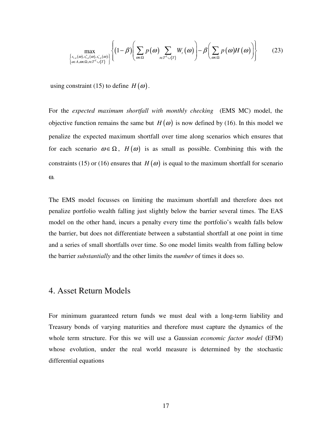$$
\max_{\substack{\left\{x_{t,a}(\omega), x_{t,a}^+(\omega), x_{t,a}^-(\omega)\right\}\\a\in A, \omega\in \Omega, t\in T^d\cup\{T\}\end{math}}\left\{\left(1-\beta\right)\left(\sum_{\omega\in\Omega}p(\omega)\sum_{t\in T^d\cup\{T\}}W_t(\omega)\right)-\beta\left(\sum_{\omega\in\Omega}p(\omega)H(\omega)\right)\right\}\tag{23}
$$

using constraint (15) to define  $H(\omega)$ .

For the *expected maximum shortfall with monthly checking* (EMS MC) model, the objective function remains the same but  $H(\omega)$  is now defined by (16). In this model we penalize the expected maximum shortfall over time along scenarios which ensures that for each scenario  $\omega \in \Omega$ ,  $H(\omega)$  is as small as possible. Combining this with the constraints (15) or (16) ensures that  $H(\omega)$  is equal to the maximum shortfall for scenario ω.

The EMS model focusses on limiting the maximum shortfall and therefore does not penalize portfolio wealth falling just slightly below the barrier several times. The EAS model on the other hand, incurs a penalty every time the portfolio's wealth falls below the barrier, but does not differentiate between a substantial shortfall at one point in time and a series of small shortfalls over time. So one model limits wealth from falling below the barrier *substantially* and the other limits the *number* of times it does so.

## 4. Asset Return Models

For minimum guaranteed return funds we must deal with a long-term liability and Treasury bonds of varying maturities and therefore must capture the dynamics of the whole term structure. For this we will use a Gaussian *economic factor model* (EFM) whose evolution, under the real world measure is determined by the stochastic differential equations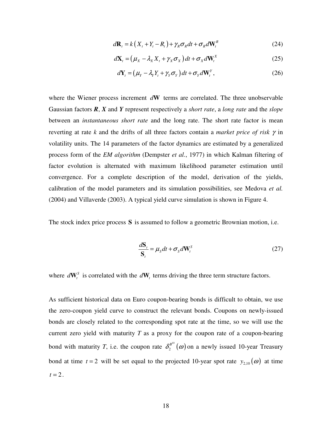$$
d\mathbf{R}_t = k\left(X_t + Y_t - R_t\right) + \gamma_R \sigma_R dt + \sigma_R d\mathbf{W}_t^R
$$
\n(24)

$$
d\mathbf{X}_{t} = (\mu_{X} - \lambda_{X} X_{t} + \gamma_{X} \sigma_{X}) dt + \sigma_{X} d\mathbf{W}_{t}^{X}
$$
 (25)

$$
d\mathbf{Y}_{t} = \left(\mu_{Y} - \lambda_{Y} Y_{t} + \gamma_{Y} \sigma_{Y}\right) dt + \sigma_{Y} d\mathbf{W}_{t}^{Y},
$$
\n(26)

where the Wiener process increment *d***W** terms are correlated. The three unobservable Gaussian factors *R*, *X* and *Y* represent respectively a *short rate*, a *long rate* and the *slope* between an *instantaneous short rate* and the long rate. The short rate factor is mean reverting at rate *k* and the drifts of all three factors contain a *market price of risk* γ in volatility units. The 14 parameters of the factor dynamics are estimated by a generalized process form of the *EM algorithm* (Dempster *et al.*, 1977) in which Kalman filtering of factor evolution is alternated with maximum likelihood parameter estimation until convergence. For a complete description of the model, derivation of the yields, calibration of the model parameters and its simulation possibilities, see Medova *et al.* (2004) and Villaverde (2003). A typical yield curve simulation is shown in Figure 4.

The stock index price process **S** is assumed to follow a geometric Brownian motion, i.e.

$$
\frac{d\mathbf{S}_t}{\mathbf{S}_t} = \mu_s dt + \sigma_s d\mathbf{W}_t^s
$$
\n(27)

where  $d\mathbf{W}_{t}^{S}$  $dW_t^s$  is correlated with the  $dW_t$  terms driving the three term structure factors.

As sufficient historical data on Euro coupon-bearing bonds is difficult to obtain, we use the zero-coupon yield curve to construct the relevant bonds. Coupons on newly-issued bonds are closely related to the corresponding spot rate at the time, so we will use the current zero yield with maturity *T* as a proxy for the coupon rate of a coupon-bearing bond with maturity *T*, i.e. the coupon rate  $\delta_2^{B^{10}}(\omega)$ 2  $\delta_2^{\beta^{(0)}}(\omega)$  on a newly issued 10-year Treasury bond at time  $t = 2$  will be set equal to the projected 10-year spot rate  $y_{2,10}(\omega)$  at time  $t = 2$ .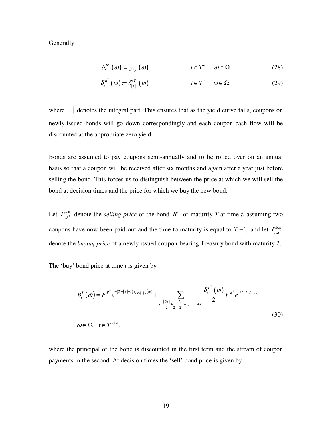**Generally** 

$$
\delta_t^{B^T}(\omega) = y_{t,T}(\omega) \qquad \qquad t \in T^d \quad \omega \in \Omega \qquad (28)
$$

$$
\delta_t^{B^T}(\omega) := \delta_{\lfloor t \rfloor}^{(T)}(\omega) \qquad \qquad t \in T^i \quad \omega \in \Omega, \tag{29}
$$

where  $\left| . \right|$  denotes the integral part. This ensures that as the yield curve falls, coupons on newly-issued bonds will go down correspondingly and each coupon cash flow will be discounted at the appropriate zero yield.

Bonds are assumed to pay coupons semi-annually and to be rolled over on an annual basis so that a coupon will be received after six months and again after a year just before selling the bond. This forces us to distinguish between the price at which we will sell the bond at decision times and the price for which we buy the new bond.

Let  $P_{i}^{\text{sell}}$  $P_{t,B}^{\text{sell}}$  denote the *selling price* of the bond  $B^T$  of maturity *T* at time *t*, assuming two coupons have now been paid out and the time to maturity is equal to  $T-1$ , and let  $P_{\mu}^{buy}$  $P_{t,B^T}^{\text{buy}}$ denote the *buying price* of a newly issued coupon-bearing Treasury bond with maturity *T*.

The 'buy' bond price at time *t* is given by

$$
B_{t}^{T}(\omega) = F^{B^{T}} e^{-(T + \lfloor t \rfloor - t)y_{t,T + \lfloor t \rfloor - t}(\omega)} + \sum_{s = \frac{\lfloor 2t \rfloor}{2} + \frac{1}{2}, \frac{\lfloor 2t \rfloor}{2} + 1, \dots, \lfloor t \rfloor + T} \frac{\delta_{t}^{B^{T}}(\omega)}{2} F^{B^{T}} e^{-(s - t)y_{t(s - t)}} \omega \in \Omega \quad t \in T^{\text{total}},
$$
\n(30)

where the principal of the bond is discounted in the first term and the stream of coupon payments in the second. At decision times the 'sell' bond price is given by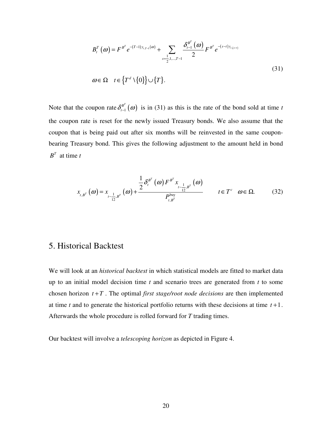$$
B_{t}^{T}(\omega) = F^{B^{T}} e^{-(T-1)y_{t,T-1}(\omega)} + \sum_{s=\frac{1}{2},1,\dots,T-1} \frac{\delta_{t-1}^{B^{T}}(\omega)}{2} F^{B^{T}} e^{-(s-t)y_{t,(s-t)}}
$$
  
\n
$$
\omega \in \Omega \quad t \in \left\{T^{d} \setminus \{0\}\right\} \cup \left\{T\right\}.
$$
\n(31)

Note that the coupon rate  $\delta_{t-1}^{B^{T}}(\omega)$  $\delta_{t-1}^B(\omega)$  is in (31) as this is the rate of the bond sold at time *t* the coupon rate is reset for the newly issued Treasury bonds. We also assume that the coupon that is being paid out after six months will be reinvested in the same couponbearing Treasury bond. This gives the following adjustment to the amount held in bond  $B^T$  at time *t* 

$$
x_{t,B^{T}}(\omega) = x_{t-\frac{1}{12},B^{T}}(\omega) + \frac{\frac{1}{2}\delta_{t}^{B^{T}}(\omega) F^{B^{T}} x_{t-\frac{1}{12},B^{T}}(\omega)}{P_{t,B^{T}}^{buy}} \qquad t \in T^{c} \quad \omega \in \Omega.
$$
 (32)

## 5. Historical Backtest

We will look at an *historical backtest* in which statistical models are fitted to market data up to an initial model decision time *t* and scenario trees are generated from *t* to some chosen horizon  $t + T$ . The optimal *first stage/root node decisions* are then implemented at time *t* and to generate the historical portfolio returns with these decisions at time *t* +1. Afterwards the whole procedure is rolled forward for *T* trading times.

Our backtest will involve a *telescoping horizon* as depicted in Figure 4.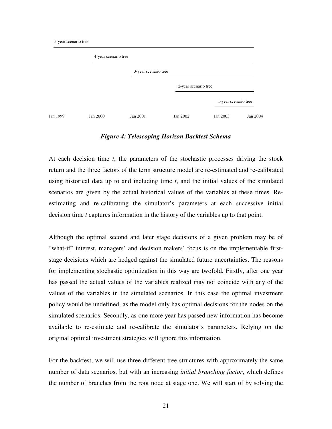|          | 4-year scenario tree |                      |                      |                      |          |
|----------|----------------------|----------------------|----------------------|----------------------|----------|
|          |                      | 3-year scenario tree |                      |                      |          |
|          |                      |                      | 2-year scenario tree |                      |          |
|          |                      |                      |                      | 1-year scenario tree |          |
| Jan 1999 | Jan 2000             | Jan 2001             | Jan 2002             | Jan 2003             | Jan 2004 |

#### *Figure 4: Telescoping Horizon Backtest Schema*

At each decision time *t*, the parameters of the stochastic processes driving the stock return and the three factors of the term structure model are re-estimated and re-calibrated using historical data up to and including time *t*, and the initial values of the simulated scenarios are given by the actual historical values of the variables at these times. Reestimating and re-calibrating the simulator's parameters at each successive initial decision time *t* captures information in the history of the variables up to that point.

Although the optimal second and later stage decisions of a given problem may be of "what-if" interest, managers' and decision makers' focus is on the implementable firststage decisions which are hedged against the simulated future uncertainties. The reasons for implementing stochastic optimization in this way are twofold. Firstly, after one year has passed the actual values of the variables realized may not coincide with any of the values of the variables in the simulated scenarios. In this case the optimal investment policy would be undefined, as the model only has optimal decisions for the nodes on the simulated scenarios. Secondly, as one more year has passed new information has become available to re-estimate and re-calibrate the simulator's parameters. Relying on the original optimal investment strategies will ignore this information.

For the backtest, we will use three different tree structures with approximately the same number of data scenarios, but with an increasing *initial branching factor*, which defines the number of branches from the root node at stage one. We will start of by solving the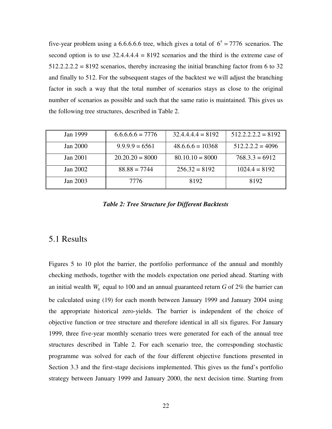five-year problem using a 6.6.6.6.6 tree, which gives a total of  $6^5 = 7776$  scenarios. The second option is to use  $32.4.4.4.4 = 8192$  scenarios and the third is the extreme case of  $512.2.2.2 = 8192$  scenarios, thereby increasing the initial branching factor from 6 to 32 and finally to 512. For the subsequent stages of the backtest we will adjust the branching factor in such a way that the total number of scenarios stays as close to the original number of scenarios as possible and such that the same ratio is maintained. This gives us the following tree structures, described in Table 2.

| Jan 1999 | $6.6.6.6 = 7776$  | $32.4.4.4.4 = 8192$ | $512.2.2.2.2 = 8192$ |
|----------|-------------------|---------------------|----------------------|
| Jan 2000 | $9.9.9.9 = 6561$  | $48.6.6.6 = 10368$  | $512.2.2.2 = 4096$   |
| Jan 2001 | $20.20.20 = 8000$ | $80.10.10 = 8000$   | $768.3.3 = 6912$     |
| Jan 2002 | $88.88 = 7744$    | $256.32 = 8192$     | $1024.4 = 8192$      |
| Jan 2003 | 7776              | 8192                | 8192                 |

*Table 2: Tree Structure for Different Backtests*

## 5.1 Results

Figures 5 to 10 plot the barrier, the portfolio performance of the annual and monthly checking methods, together with the models expectation one period ahead. Starting with an initial wealth  $W_0$  equal to 100 and an annual guaranteed return  $G$  of 2% the barrier can be calculated using (19) for each month between January 1999 and January 2004 using the appropriate historical zero-yields. The barrier is independent of the choice of objective function or tree structure and therefore identical in all six figures. For January 1999, three five-year monthly scenario trees were generated for each of the annual tree structures described in Table 2. For each scenario tree, the corresponding stochastic programme was solved for each of the four different objective functions presented in Section 3.3 and the first-stage decisions implemented. This gives us the fund's portfolio strategy between January 1999 and January 2000, the next decision time. Starting from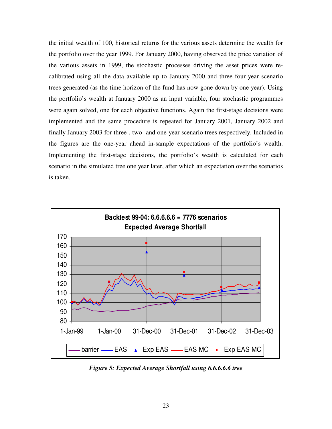the initial wealth of 100, historical returns for the various assets determine the wealth for the portfolio over the year 1999. For January 2000, having observed the price variation of the various assets in 1999, the stochastic processes driving the asset prices were recalibrated using all the data available up to January 2000 and three four-year scenario trees generated (as the time horizon of the fund has now gone down by one year). Using the portfolio's wealth at January 2000 as an input variable, four stochastic programmes were again solved, one for each objective functions. Again the first-stage decisions were implemented and the same procedure is repeated for January 2001, January 2002 and finally January 2003 for three-, two- and one-year scenario trees respectively. Included in the figures are the one-year ahead in-sample expectations of the portfolio's wealth. Implementing the first-stage decisions, the portfolio's wealth is calculated for each scenario in the simulated tree one year later, after which an expectation over the scenarios is taken.



*Figure 5: Expected Average Shortfall using 6.6.6.6.6 tree*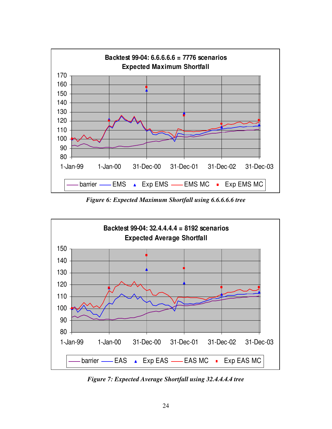

*Figure 6: Expected Maximum Shortfall using 6.6.6.6.6 tree*



*Figure 7: Expected Average Shortfall using 32.4.4.4.4 tree*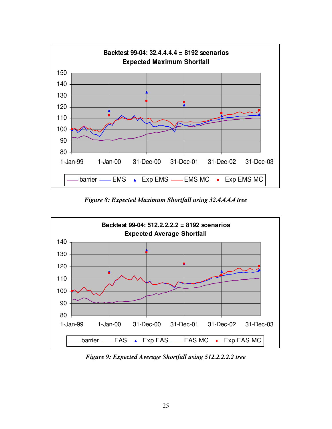

*Figure 8: Expected Maximum Shortfall using 32.4.4.4.4 tree*



*Figure 9: Expected Average Shortfall using 512.2.2.2.2 tree*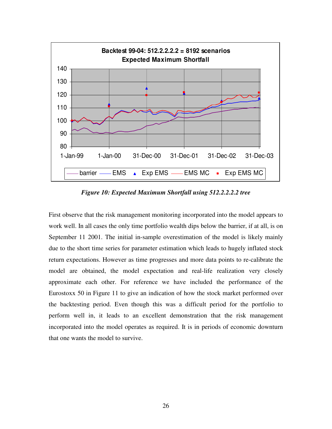

*Figure 10: Expected Maximum Shortfall using 512.2.2.2.2 tree*

First observe that the risk management monitoring incorporated into the model appears to work well. In all cases the only time portfolio wealth dips below the barrier, if at all, is on September 11 2001. The initial in-sample overestimation of the model is likely mainly due to the short time series for parameter estimation which leads to hugely inflated stock return expectations. However as time progresses and more data points to re-calibrate the model are obtained, the model expectation and real-life realization very closely approximate each other. For reference we have included the performance of the Eurostoxx 50 in Figure 11 to give an indication of how the stock market performed over the backtesting period. Even though this was a difficult period for the portfolio to perform well in, it leads to an excellent demonstration that the risk management incorporated into the model operates as required. It is in periods of economic downturn that one wants the model to survive.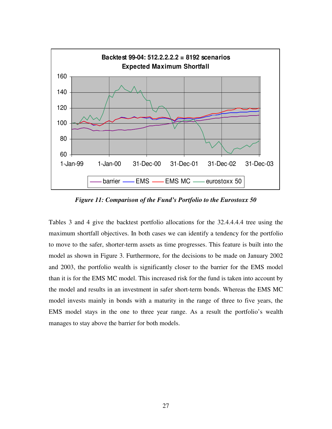

*Figure 11: Comparison of the Fund's Portfolio to the Eurostoxx 50*

Tables 3 and 4 give the backtest portfolio allocations for the 32.4.4.4.4 tree using the maximum shortfall objectives. In both cases we can identify a tendency for the portfolio to move to the safer, shorter-term assets as time progresses. This feature is built into the model as shown in Figure 3. Furthermore, for the decisions to be made on January 2002 and 2003, the portfolio wealth is significantly closer to the barrier for the EMS model than it is for the EMS MC model. This increased risk for the fund is taken into account by the model and results in an investment in safer short-term bonds. Whereas the EMS MC model invests mainly in bonds with a maturity in the range of three to five years, the EMS model stays in the one to three year range. As a result the portfolio's wealth manages to stay above the barrier for both models.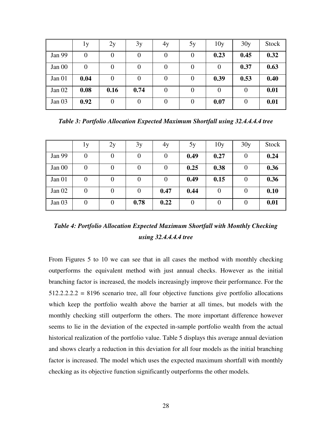|        | lу       | 2y       | 3y   | 4y             | 5y       | 10y      | 30y              | Stock |
|--------|----------|----------|------|----------------|----------|----------|------------------|-------|
| Jan 99 | $\theta$ |          | O    | $\theta$       | 0        | 0.23     | 0.45             | 0.32  |
| Jan 00 | 0        |          |      | $\Omega$       | 0        | $\theta$ | 0.37             | 0.63  |
| Jan 01 | 0.04     | $\theta$ |      | $\theta$       | $\theta$ | 0.39     | 0.53             | 0.40  |
| Jan 02 | 0.08     | 0.16     | 0.74 | $\overline{0}$ | $\Omega$ | 0        | $\theta$         | 0.01  |
| Jan 03 | 0.92     |          |      | 0              | $\theta$ | 0.07     | $\boldsymbol{0}$ | 0.01  |

*Table 3: Portfolio Allocation Expected Maximum Shortfall using 32.4.4.4.4 tree*

|        | 1y               | 2y               | 3y             | 4y             | 5y   | 10y              | 30y      | Stock |
|--------|------------------|------------------|----------------|----------------|------|------------------|----------|-------|
| Jan 99 | $\boldsymbol{0}$ | $\theta$         | 0              | 0              | 0.49 | 0.27             | $\theta$ | 0.24  |
| Jan 00 | $\boldsymbol{0}$ | $\theta$         | 0              | 0              | 0.25 | 0.38             | $\theta$ | 0.36  |
| Jan 01 | $\boldsymbol{0}$ | $\theta$         | 0              | $\overline{0}$ | 0.49 | 0.15             | $\theta$ | 0.36  |
| Jan 02 | $\overline{0}$   | $\boldsymbol{0}$ | $\overline{0}$ | 0.47           | 0.44 | $\overline{0}$   | $\theta$ | 0.10  |
| Jan 03 | $\overline{0}$   | $\overline{0}$   | 0.78           | 0.22           | 0    | $\boldsymbol{0}$ | $\theta$ | 0.01  |

*Table 4: Portfolio Allocation Expected Maximum Shortfall with Monthly Checking using 32.4.4.4.4 tree*

From Figures 5 to 10 we can see that in all cases the method with monthly checking outperforms the equivalent method with just annual checks. However as the initial branching factor is increased, the models increasingly improve their performance. For the  $512.2.2.2.2 = 8196$  scenario tree, all four objective functions give portfolio allocations which keep the portfolio wealth above the barrier at all times, but models with the monthly checking still outperform the others. The more important difference however seems to lie in the deviation of the expected in-sample portfolio wealth from the actual historical realization of the portfolio value. Table 5 displays this average annual deviation and shows clearly a reduction in this deviation for all four models as the initial branching factor is increased. The model which uses the expected maximum shortfall with monthly checking as its objective function significantly outperforms the other models.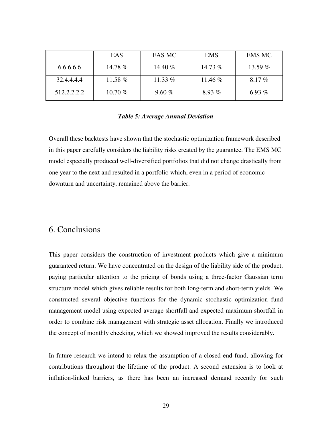|             | EAS       | EAS MC    | <b>EMS</b> | <b>EMS MC</b> |
|-------------|-----------|-----------|------------|---------------|
| 6.6.6.6.6   | 14.78 %   | 14.40 $%$ | 14.73 $%$  | 13.59 $%$     |
| 32.4.4.4.4  | 11.58 $%$ | 11.33 $%$ | 11.46 $%$  | $8.17\%$      |
| 512.2.2.2.2 | $10.70\%$ | 9.60%     | $8.93\%$   | 6.93 $%$      |

#### *Table 5: Average Annual Deviation*

Overall these backtests have shown that the stochastic optimization framework described in this paper carefully considers the liability risks created by the guarantee. The EMS MC model especially produced well-diversified portfolios that did not change drastically from one year to the next and resulted in a portfolio which, even in a period of economic downturn and uncertainty, remained above the barrier.

### 6. Conclusions

This paper considers the construction of investment products which give a minimum guaranteed return. We have concentrated on the design of the liability side of the product, paying particular attention to the pricing of bonds using a three-factor Gaussian term structure model which gives reliable results for both long-term and short-term yields. We constructed several objective functions for the dynamic stochastic optimization fund management model using expected average shortfall and expected maximum shortfall in order to combine risk management with strategic asset allocation. Finally we introduced the concept of monthly checking, which we showed improved the results considerably.

In future research we intend to relax the assumption of a closed end fund, allowing for contributions throughout the lifetime of the product. A second extension is to look at inflation-linked barriers, as there has been an increased demand recently for such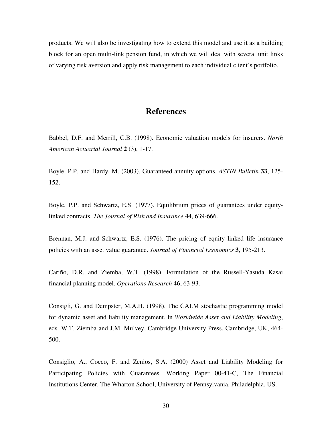products. We will also be investigating how to extend this model and use it as a building block for an open multi-link pension fund, in which we will deal with several unit links of varying risk aversion and apply risk management to each individual client's portfolio.

## **References**

Babbel, D.F. and Merrill, C.B. (1998). Economic valuation models for insurers. *North American Actuarial Journal* **2** (3), 1-17.

Boyle, P.P. and Hardy, M. (2003). Guaranteed annuity options. *ASTIN Bulletin* **33**, 125- 152.

Boyle, P.P. and Schwartz, E.S. (1977). Equilibrium prices of guarantees under equitylinked contracts. *The Journal of Risk and Insurance* **44**, 639-666.

Brennan, M.J. and Schwartz, E.S. (1976). The pricing of equity linked life insurance policies with an asset value guarantee. *Journal of Financial Economics* **3**, 195-213.

Cariño, D.R. and Ziemba, W.T. (1998). Formulation of the Russell-Yasuda Kasai financial planning model. *Operations Research* **46**, 63-93.

Consigli, G. and Dempster, M.A.H. (1998). The CALM stochastic programming model for dynamic asset and liability management. In *Worldwide Asset and Liability Modeling*, eds. W.T. Ziemba and J.M. Mulvey, Cambridge University Press, Cambridge, UK, 464- 500.

Consiglio, A., Cocco, F. and Zenios, S.A. (2000) Asset and Liability Modeling for Participating Policies with Guarantees. Working Paper 00-41-C, The Financial Institutions Center, The Wharton School, University of Pennsylvania, Philadelphia, US.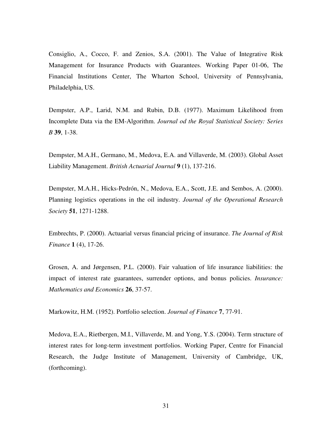Consiglio, A., Cocco, F. and Zenios, S.A. (2001). The Value of Integrative Risk Management for Insurance Products with Guarantees. Working Paper 01-06, The Financial Institutions Center, The Wharton School, University of Pennsylvania, Philadelphia, US.

Dempster, A.P., Larid, N.M. and Rubin, D.B. (1977). Maximum Likelihood from Incomplete Data via the EM-Algorithm. *Journal od the Royal Statistical Society: Series B* **39**, 1-38.

Dempster, M.A.H., Germano, M., Medova, E.A. and Villaverde, M. (2003). Global Asset Liability Management. *British Actuarial Journal* **9** (1), 137-216.

Dempster, M.A.H., Hicks-Pedrón, N., Medova, E.A., Scott, J.E. and Sembos, A. (2000). Planning logistics operations in the oil industry. *Journal of the Operational Research Society* **51**, 1271-1288.

Embrechts, P. (2000). Actuarial versus financial pricing of insurance. *The Journal of Risk Finance* **1** (4), 17-26.

Grosen, A. and Jørgensen, P.L. (2000). Fair valuation of life insurance liabilities: the impact of interest rate guarantees, surrender options, and bonus policies. *Insurance: Mathematics and Economics* **26**, 37-57.

Markowitz, H.M. (1952). Portfolio selection. *Journal of Finance* **7**, 77-91.

Medova, E.A., Rietbergen, M.I., Villaverde, M. and Yong, Y.S. (2004). Term structure of interest rates for long-term investment portfolios. Working Paper, Centre for Financial Research, the Judge Institute of Management, University of Cambridge, UK, (forthcoming).